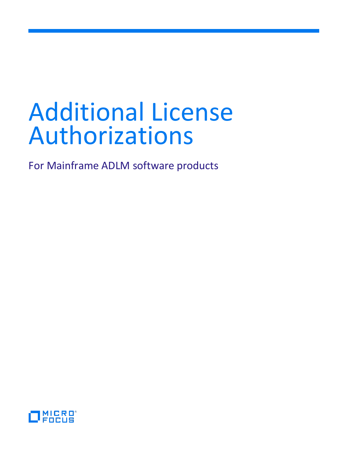# Additional License Authorizations

For Mainframe ADLM software products

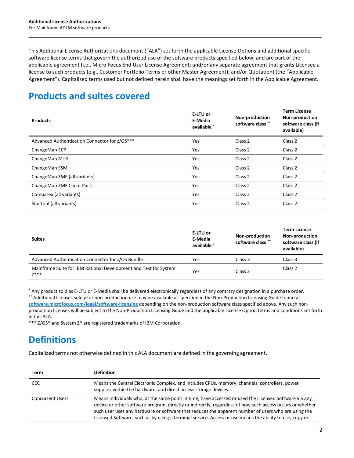This Additional License Authorizations document ("ALA") set forth the applicable License Options and additional specific software license terms that govern the authorized use of the software products specified below, and are part of the applicable agreement (i.e., Micro Focus End User License Agreement; and/or any separate agreement that grants Licensee a license to such products (e.g., Customer Portfolio Terms or other Master Agreement); and/or Quotation) (the "Applicable Agreement"). Capitalized terms used but not defined herein shall have the meanings set forth in the Applicable Agreement.

# **Products and suites covered**

| <b>Products</b>                               | E-LTU or<br>E-Media<br>available * | Non-production<br>software class ** | <b>Term License</b><br>Non-production<br>software class (if<br>available) |
|-----------------------------------------------|------------------------------------|-------------------------------------|---------------------------------------------------------------------------|
| Advanced Authentication Connector for z/OS*** | <b>Yes</b>                         | Class 2                             | Class 2                                                                   |
| ChangeMan ECP                                 | Yes                                | Class 2                             | Class 2                                                                   |
| ChangeMan M+R                                 | Yes                                | Class 2                             | Class 2                                                                   |
| ChangeMan SSM                                 | Yes                                | Class 2                             | Class 2                                                                   |
| ChangeMan ZMF (all variants)                  | Yes                                | Class 2                             | Class 2                                                                   |
| ChangeMan ZMF Client Pack                     | Yes                                | Class 2                             | Class 2                                                                   |
| Comparex (all variants)                       | <b>Yes</b>                         | Class 2                             | Class 2                                                                   |
| StarTool (all variants)                       | Yes                                | Class 2                             | Class 2                                                                   |

| <b>Suites</b>                                                              | E-LTU or<br>E-Media<br>available * | <b>Non-production</b><br>software class ** | <b>Term License</b><br><b>Non-production</b><br>software class (if<br>available) |
|----------------------------------------------------------------------------|------------------------------------|--------------------------------------------|----------------------------------------------------------------------------------|
| Advanced Authentication Connector for z/OS Bundle                          | Yes                                | Class 3                                    | Class 3                                                                          |
| Mainframe Suite for IBM Rational Development and Test for System<br>$7***$ | Yes                                | Class 2                                    | Class 2                                                                          |

\* Any product sold as E-LTU or E-Media shall be delivered electronically regardless of any contrary designation in a purchase order. \*\* Additional licenses solely for non-production use may be available as specified in the Non-Production Licensing Guide found at **[software.microfocus.com/legal/software-licensing](http://software.microfocus.com/legal/software-licensing)** depending on the non-production software class specified above. Any such nonproduction licenses will be subject to the Non-Production Licensing Guide and the applicable License Option terms and conditions set forth in this ALA.

\*\*\* Z/OS® and System Z® are registered trademarks of IBM Corporation.

# **Definitions**

Capitalized terms not otherwise defined in this ALA document are defined in the governing agreement.

| Term                    | <b>Definition</b>                                                                                                                                                                                                                                                                                                                                                                                                                    |
|-------------------------|--------------------------------------------------------------------------------------------------------------------------------------------------------------------------------------------------------------------------------------------------------------------------------------------------------------------------------------------------------------------------------------------------------------------------------------|
| <b>CEC</b>              | Means the Central Electronic Complex, and includes CPUs, memory, channels, controllers, power<br>supplies within the hardware, and direct access storage devices.                                                                                                                                                                                                                                                                    |
| <b>Concurrent Users</b> | Means individuals who, at the same point in time, have accessed or used the Licensed Software via any<br>device or other software program, directly or indirectly, regardless of how such access occurs or whether<br>such user uses any hardware or software that reduces the apparent number of users who are using the<br>Licensed Software, such as by using a terminal service. Access or use means the ability to use, copy or |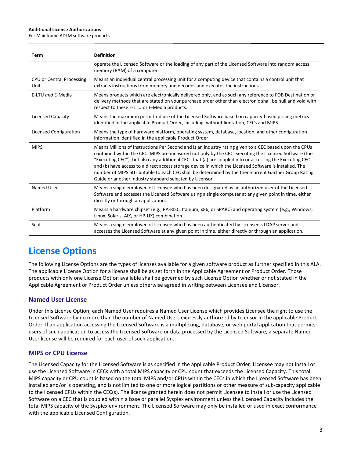#### **Additional License Authorizations**

For Mainframe ADLM software products

| <b>Term</b>                              | <b>Definition</b>                                                                                                                                                                                                                                                                                                                                                                                                                                                                                                                                                                                      |
|------------------------------------------|--------------------------------------------------------------------------------------------------------------------------------------------------------------------------------------------------------------------------------------------------------------------------------------------------------------------------------------------------------------------------------------------------------------------------------------------------------------------------------------------------------------------------------------------------------------------------------------------------------|
|                                          | operate the Licensed Software or the loading of any part of the Licensed Software into random access<br>memory (RAM) of a computer.                                                                                                                                                                                                                                                                                                                                                                                                                                                                    |
| <b>CPU or Central Processing</b><br>Unit | Means an individual central processing unit for a computing device that contains a control unit that<br>extracts instructions from memory and decodes and executes the instructions.                                                                                                                                                                                                                                                                                                                                                                                                                   |
| E-LTU and E-Media                        | Means products which are electronically delivered only, and as such any reference to FOB Destination or<br>delivery methods that are stated on your purchase order other than electronic shall be null and void with<br>respect to these E-LTU or E-Media products.                                                                                                                                                                                                                                                                                                                                    |
| <b>Licensed Capacity</b>                 | Means the maximum permitted use of the Licensed Software based on capacity-based pricing metrics<br>identified in the applicable Product Order, including, without limitation, CECs and MIPS.                                                                                                                                                                                                                                                                                                                                                                                                          |
| Licensed Configuration                   | Means the type of hardware platform, operating system, database, location, and other configuration<br>information identified in the applicable Product Order                                                                                                                                                                                                                                                                                                                                                                                                                                           |
| <b>MIPS</b>                              | Means Millions of Instructions Per Second and is an industry rating given to a CEC based upon the CPUs<br>contained within the CEC. MIPS are measured not only by the CEC executing the Licensed Software (the<br>"Executing CEC"), but also any additional CECs that (a) are coupled into or accessing the Executing CEC<br>and (b) have access to a direct access storage device in which the Licensed Software is installed. The<br>number of MIPS attributable to each CEC shall be determined by the then-current Gartner Group Rating<br>Guide or another industry standard selected by Licensor |
| Named User                               | Means a single employee of Licensee who has been designated as an authorized user of the Licensed<br>Software and accesses the Licensed Software using a single computer at any given point in time, either<br>directly or through an application.                                                                                                                                                                                                                                                                                                                                                     |
| Platform                                 | Means a hardware chipset (e.g., PA-RISC, Itanium, x86, or SPARC) and operating system (e.g., Windows,<br>Linux, Solaris, AIX, or HP-UX) combination.                                                                                                                                                                                                                                                                                                                                                                                                                                                   |
| Seat                                     | Means a single employee of Licensee who has been authenticated by Licensee's LDAP server and<br>accesses the Licensed Software at any given point in time, either directly or through an application.                                                                                                                                                                                                                                                                                                                                                                                                  |

## **License Options**

The following License Options are the types of licenses available for a given software product as further specified in this ALA. The applicable License Option for a license shall be as set forth in the Applicable Agreement or Product Order. Those products with only one License Option available shall be governed by such License Option whether or not stated in the Applicable Agreement or Product Order unless otherwise agreed in writing between Licensee and Licensor.

## **Named User License**

Under this License Option, each Named User requires a Named User License which provides Licensee the right to use the Licensed Software by no more than the number of Named Users expressly authorized by Licensor in the applicable Product Order. If an application accessing the Licensed Software is a multiplexing, database, or web portal application that permits users of such application to access the Licensed Software or data processed by the Licensed Software, a separate Named User license will be required for each user of such application.

## **MIPS or CPU License**

The Licensed Capacity for the Licensed Software is as specified in the applicable Product Order. Licensee may not install or use the Licensed Software in CECs with a total MIPS capacity or CPU count that exceeds the Licensed Capacity. This total MIPS capacity or CPU count is based on the total MIPS and/or CPUs within the CECs in which the Licensed Software has been installed and/or is operating, and is not limited to one or more logical partitions or other measure of sub-capacity applicable to the licensed CPUs within the CEC(s). The license granted herein does not permit Licensee to install or use the Licensed Software on a CEC that is coupled within a base or parallel Sysplex environment unless the Licensed Capacity includes the total MIPS capacity of the Sysplex environment. The Licensed Software may only be installed or used in exact conformance with the applicable Licensed Configuration.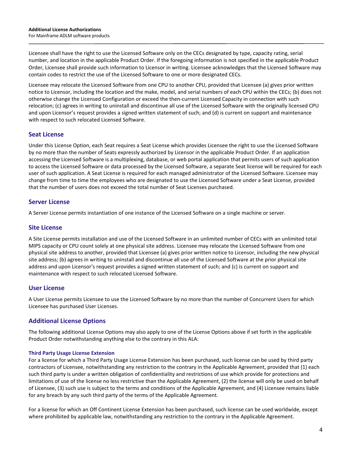Licensee shall have the right to use the Licensed Software only on the CECs designated by type, capacity rating, serial number, and location in the applicable Product Order. If the foregoing information is not specified in the applicable Product Order, Licensee shall provide such information to Licensor in writing. Licensee acknowledges that the Licensed Software may contain codes to restrict the use of the Licensed Software to one or more designated CECs.

Licensee may relocate the Licensed Software from one CPU to another CPU, provided that Licensee (a) gives prior written notice to Licensor, including the location and the make, model, and serial numbers of each CPU within the CECs; (b) does not otherwise change the Licensed Configuration or exceed the then-current Licensed Capacity in connection with such relocation; (c) agrees in writing to uninstall and discontinue all use of the Licensed Software with the originally licensed CPU and upon Licensor's request provides a signed written statement of such; and (d) is current on support and maintenance with respect to such relocated Licensed Software.

## **Seat License**

Under this License Option, each Seat requires a Seat License which provides Licensee the right to use the Licensed Software by no more than the number of Seats expressly authorized by Licensor in the applicable Product Order. If an application accessing the Licensed Software is a multiplexing, database, or web portal application that permits users of such application to access the Licensed Software or data processed by the Licensed Software, a separate Seat license will be required for each user of such application. A Seat License is required for each managed administrator of the Licensed Software. Licensee may change from time to time the employees who are designated to use the Licensed Software under a Seat License, provided that the number of users does not exceed the total number of Seat Licenses purchased.

## **Server License**

A Server License permits instantiation of one instance of the Licensed Software on a single machine or server.

## **Site License**

A Site License permits installation and use of the Licensed Software in an unlimited number of CECs with an unlimited total MIPS capacity or CPU count solely at one physical site address. Licensee may relocate the Licensed Software from one physical site address to another, provided that Licensee (a) gives prior written notice to Licensor, including the new physical site address; (b) agrees in writing to uninstall and discontinue all use of the Licensed Software at the prior physical site address and upon Licensor's request provides a signed written statement of such; and (c) is current on support and maintenance with respect to such relocated Licensed Software.

## **User License**

A User License permits Licensee to use the Licensed Software by no more than the number of Concurrent Users for which Licensee has purchased User Licenses.

## **Additional License Options**

The following additional License Options may also apply to one of the License Options above if set forth in the applicable Product Order notwithstanding anything else to the contrary in this ALA:

## **Third Party Usage License Extension**

For a license for which a Third Party Usage License Extension has been purchased, such license can be used by third party contractors of Licensee, notwithstanding any restriction to the contrary in the Applicable Agreement, provided that (1) each such third party is under a written obligation of confidentiality and restrictions of use which provide for protections and limitations of use of the license no less restrictive than the Applicable Agreement, (2) the license will only be used on behalf of Licensee, (3) such use is subject to the terms and conditions of the Applicable Agreement, and (4) Licensee remains liable for any breach by any such third party of the terms of the Applicable Agreement.

For a license for which an Off Continent License Extension has been purchased, such license can be used worldwide, except where prohibited by applicable law, notwithstanding any restriction to the contrary in the Applicable Agreement.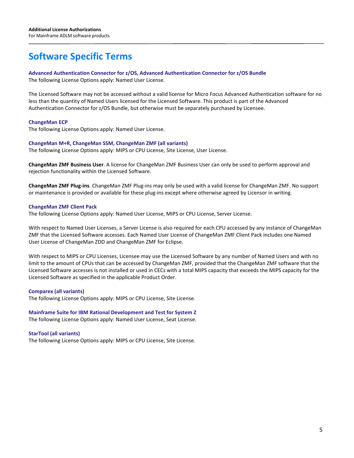# **Software Specific Terms**

## **Advanced Authentication Connector for z/OS, Advanced Authentication Connector for z/OS Bundle**

The following License Options apply: Named User License.

The Licensed Software may not be accessed without a valid license for Micro Focus Advanced Authentication software for no less than the quantity of Named Users licensed for the Licensed Software. This product is part of the Advanced Authentication Connector for z/OS Bundle, but otherwise must be separately purchased by Licensee.

## **ChangeMan ECP**

The following License Options apply: Named User License.

## **ChangeMan M+R, ChangeMan SSM, ChangeMan ZMF (all variants)**

The following License Options apply: MIPS or CPU License, Site License, User License.

**ChangeMan ZMF Business User**. A license for ChangeMan ZMF Business User can only be used to perform approval and rejection functionality within the Licensed Software.

**ChangeMan ZMF Plug-ins**. ChangeMan ZMF Plug-ins may only be used with a valid license for ChangeMan ZMF. No support or maintenance is provided or available for these plug-ins except where otherwise agreed by Licensor in writing.

## **ChangeMan ZMF Client Pack**

The following License Options apply: Named User License, MIPS or CPU License, Server License.

With respect to Named User Licenses, a Server License is also required for each CPU accessed by any instance of ChangeMan ZMF that the Licensed Software accesses. Each Named User License of ChangeMan ZMF Client Pack includes one Named User License of ChangeMan ZDD and ChangeMan ZMF for Eclipse.

With respect to MIPS or CPU Licenses, Licensee may use the Licensed Software by any number of Named Users and with no limit to the amount of CPUs that can be accessed by ChangeMan ZMF, provided that the ChangeMan ZMF software that the Licensed Software accesses is not installed or used in CECs with a total MIPS capacity that exceeds the MIPS capacity for the Licensed Software as specified in the applicable Product Order.

## **Comparex (all variants)**

The following License Options apply: MIPS or CPU License, Site License.

## **Mainframe Suite for IBM Rational Development and Test for System Z**

The following License Options apply: Named User License, Seat License.

## **StarTool (all variants)**

The following License Options apply: MIPS or CPU License, Site License.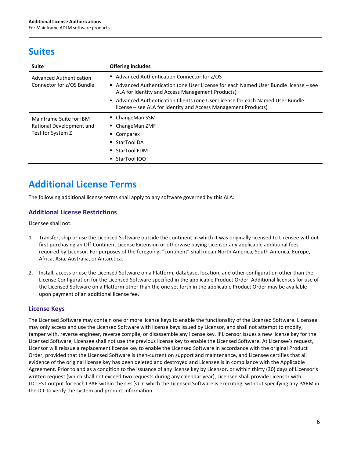# **Suites**

| Suite                                                                    | <b>Offering includes</b>                                                                                                                                                                                                                                                                                                               |
|--------------------------------------------------------------------------|----------------------------------------------------------------------------------------------------------------------------------------------------------------------------------------------------------------------------------------------------------------------------------------------------------------------------------------|
| Advanced Authentication<br>Connector for z/OS Bundle                     | Advanced Authentication Connector for z/OS<br>Advanced Authentication (one User License for each Named User Bundle license - see<br>ALA for Identity and Access Management Products)<br>Advanced Authentication Clients (one User License for each Named User Bundle<br>license - see ALA for Identity and Access Management Products) |
| Mainframe Suite for IBM<br>Rational Development and<br>Test for System Z | • ChangeMan SSM<br>$\blacksquare$ ChangeMan ZMF<br>• Comparex<br>■ StarTool DA<br>■ StarTool FDM<br>■ StarTool IOO                                                                                                                                                                                                                     |

# **Additional License Terms**

The following additional license terms shall apply to any software governed by this ALA:

## **Additional License Restrictions**

Licensee shall not:

- 1. Transfer, ship or use the Licensed Software outside the continent in which it was originally licensed to Licensee without first purchasing an Off-Continent License Extension or otherwise paying Licensor any applicable additional fees required by Licensor. For purposes of the foregoing, "continent" shall mean North America, South America, Europe, Africa, Asia, Australia, or Antarctica.
- 2. Install, access or use the Licensed Software on a Platform, database, location, and other configuration other than the License Configuration for the Licensed Software specified in the applicable Product Order. Additional licenses for use of the Licensed Software on a Platform other than the one set forth in the applicable Product Order may be available upon payment of an additional license fee.

## **License Keys**

The Licensed Software may contain one or more license keys to enable the functionality of the Licensed Software. Licensee may only access and use the Licensed Software with license keys issued by Licensor, and shall not attempt to modify, tamper with, reverse engineer, reverse compile, or disassemble any license key. If Licensor issues a new license key for the Licensed Software, Licensee shall not use the previous license key to enable the Licensed Software. At Licensee's request, Licensor will reissue a replacement license key to enable the Licensed Software in accordance with the original Product Order, provided that the Licensed Software is then-current on support and maintenance, and Licensee certifies that all evidence of the original license key has been deleted and destroyed and Licensee is in compliance with the Applicable Agreement. Prior to and as a condition to the issuance of any license key by Licensor, or within thirty (30) days of Licensor's written request (which shall not exceed two requests during any calendar year), Licensee shall provide Licensor with LICTEST output for each LPAR within the CEC(s) in which the Licensed Software is executing, without specifying any PARM in the JCL to verify the system and product information.